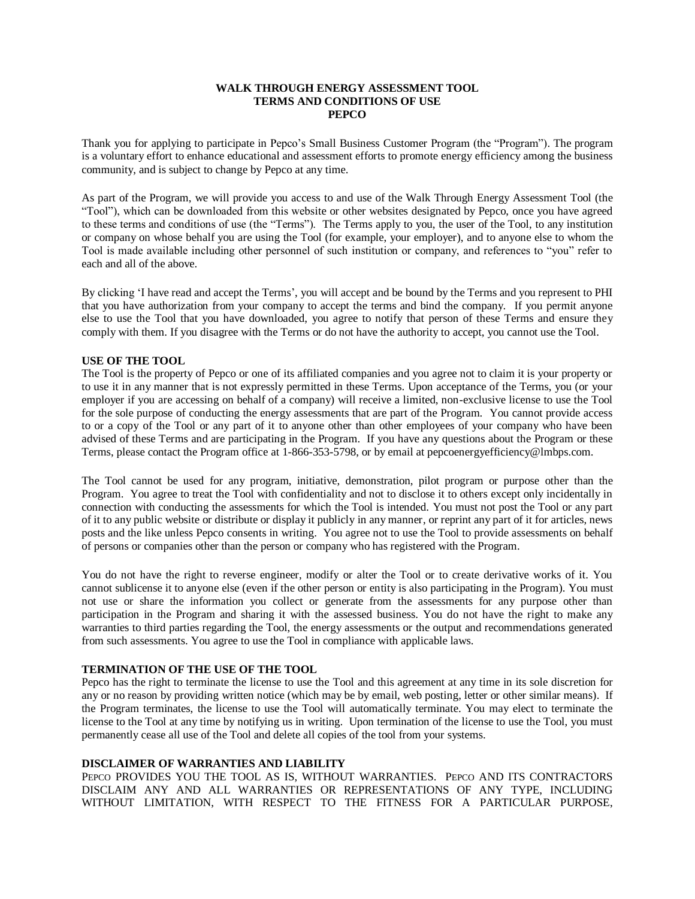## **WALK THROUGH ENERGY ASSESSMENT TOOL TERMS AND CONDITIONS OF USE PEPCO**

Thank you for applying to participate in Pepco's Small Business Customer Program (the "Program"). The program is a voluntary effort to enhance educational and assessment efforts to promote energy efficiency among the business community, and is subject to change by Pepco at any time.

As part of the Program, we will provide you access to and use of the Walk Through Energy Assessment Tool (the "Tool"), which can be downloaded from this website or other websites designated by Pepco, once you have agreed to these terms and conditions of use (the "Terms"). The Terms apply to you, the user of the Tool, to any institution or company on whose behalf you are using the Tool (for example, your employer), and to anyone else to whom the Tool is made available including other personnel of such institution or company, and references to "you" refer to each and all of the above.

By clicking 'I have read and accept the Terms', you will accept and be bound by the Terms and you represent to PHI that you have authorization from your company to accept the terms and bind the company. If you permit anyone else to use the Tool that you have downloaded, you agree to notify that person of these Terms and ensure they comply with them. If you disagree with the Terms or do not have the authority to accept, you cannot use the Tool.

### **USE OF THE TOOL**

The Tool is the property of Pepco or one of its affiliated companies and you agree not to claim it is your property or to use it in any manner that is not expressly permitted in these Terms. Upon acceptance of the Terms, you (or your employer if you are accessing on behalf of a company) will receive a limited, non-exclusive license to use the Tool for the sole purpose of conducting the energy assessments that are part of the Program. You cannot provide access to or a copy of the Tool or any part of it to anyone other than other employees of your company who have been advised of these Terms and are participating in the Program. If you have any questions about the Program or these Terms, please contact the Program office at 1-866-353-5798, or by email at pepcoenergyefficiency@lmbps.com.

The Tool cannot be used for any program, initiative, demonstration, pilot program or purpose other than the Program. You agree to treat the Tool with confidentiality and not to disclose it to others except only incidentally in connection with conducting the assessments for which the Tool is intended. You must not post the Tool or any part of it to any public website or distribute or display it publicly in any manner, or reprint any part of it for articles, news posts and the like unless Pepco consents in writing. You agree not to use the Tool to provide assessments on behalf of persons or companies other than the person or company who has registered with the Program.

You do not have the right to reverse engineer, modify or alter the Tool or to create derivative works of it. You cannot sublicense it to anyone else (even if the other person or entity is also participating in the Program). You must not use or share the information you collect or generate from the assessments for any purpose other than participation in the Program and sharing it with the assessed business. You do not have the right to make any warranties to third parties regarding the Tool, the energy assessments or the output and recommendations generated from such assessments. You agree to use the Tool in compliance with applicable laws.

### **TERMINATION OF THE USE OF THE TOOL**

Pepco has the right to terminate the license to use the Tool and this agreement at any time in its sole discretion for any or no reason by providing written notice (which may be by email, web posting, letter or other similar means). If the Program terminates, the license to use the Tool will automatically terminate. You may elect to terminate the license to the Tool at any time by notifying us in writing. Upon termination of the license to use the Tool, you must permanently cease all use of the Tool and delete all copies of the tool from your systems.

# **DISCLAIMER OF WARRANTIES AND LIABILITY**

PEPCO PROVIDES YOU THE TOOL AS IS, WITHOUT WARRANTIES. PEPCO AND ITS CONTRACTORS DISCLAIM ANY AND ALL WARRANTIES OR REPRESENTATIONS OF ANY TYPE, INCLUDING WITHOUT LIMITATION, WITH RESPECT TO THE FITNESS FOR A PARTICULAR PURPOSE,